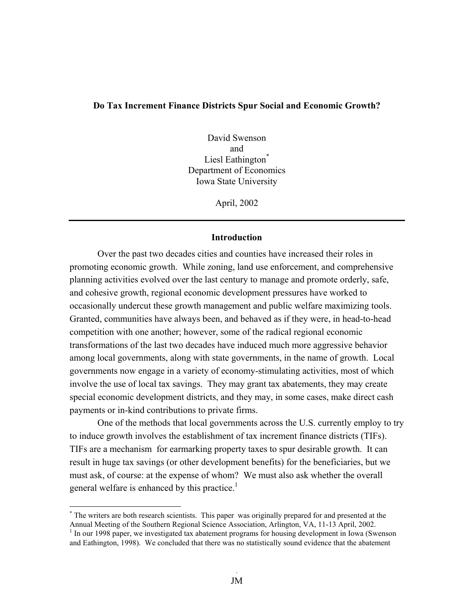#### **Do Tax Increment Finance Districts Spur Social and Economic Growth?**

David Swenson and Liesl Eathington<sup>\*</sup> Department of Economics Iowa State University

April, 2002

#### **Introduction**

Over the past two decades cities and counties have increased their roles in promoting economic growth. While zoning, land use enforcement, and comprehensive planning activities evolved over the last century to manage and promote orderly, safe, and cohesive growth, regional economic development pressures have worked to occasionally undercut these growth management and public welfare maximizing tools. Granted, communities have always been, and behaved as if they were, in head-to-head competition with one another; however, some of the radical regional economic transformations of the last two decades have induced much more aggressive behavior among local governments, along with state governments, in the name of growth. Local governments now engage in a variety of economy-stimulating activities, most of which involve the use of local tax savings. They may grant tax abatements, they may create special economic development districts, and they may, in some cases, make direct cash payments or in-kind contributions to private firms.

 One of the methods that local governments across the U.S. currently employ to try to induce growth involves the establishment of tax increment finance districts (TIFs). TIFs are a mechanism for earmarking property taxes to spur desirable growth. It can result in huge tax savings (or other development benefits) for the beneficiaries, but we must ask, of course: at the expense of whom? We must also ask whether the overall general welfare is enhanced by this practice.<sup>1</sup>

1

<sup>\*</sup> The writers are both research scientists. This paper was originally prepared for and presented at the Annual Meeting of the Southern Regional Science Association, Arlington, VA, 11-13 April, 2002. <sup>1</sup> In our 1998 paper, we investigated tax abatement programs for housing development in Iowa (Swenson and Eathington, 1998). We concluded that there was no statistically sound evidence that the abatement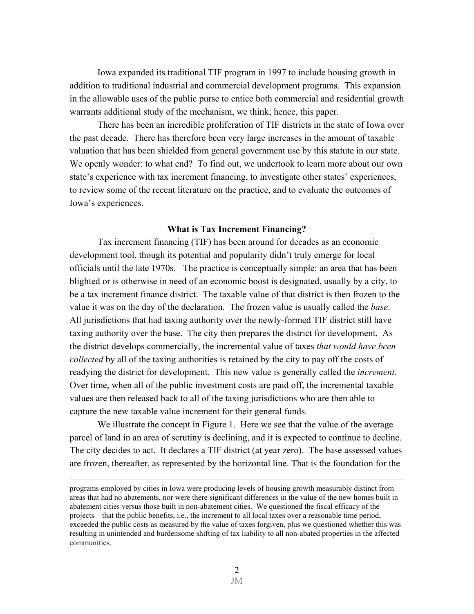Iowa expanded its traditional TIF program in 1997 to include housing growth in addition to traditional industrial and commercial development programs. This expansion in the allowable uses of the public purse to entice both commercial and residential growth warrants additional study of the mechanism, we think; hence, this paper.

 There has been an incredible proliferation of TIF districts in the state of Iowa over the past decade. There has therefore been very large increases in the amount of taxable valuation that has been shielded from general government use by this statute in our state. We openly wonder: to what end? To find out, we undertook to learn more about our own state's experience with tax increment financing, to investigate other states' experiences, to review some of the recent literature on the practice, and to evaluate the outcomes of Iowa's experiences.

#### **What is Tax Increment Financing?**

Tax increment financing (TIF) has been around for decades as an economic development tool, though its potential and popularity didn't truly emerge for local officials until the late 1970s. The practice is conceptually simple: an area that has been blighted or is otherwise in need of an economic boost is designated, usually by a city, to be a tax increment finance district. The taxable value of that district is then frozen to the value it was on the day of the declaration. The frozen value is usually called the *base*. All jurisdictions that had taxing authority over the newly-formed TIF district still have taxing authority over the base. The city then prepares the district for development. As the district develops commercially, the incremental value of taxes *that would have been collected* by all of the taxing authorities is retained by the city to pay off the costs of readying the district for development. This new value is generally called the *increment*. Over time, when all of the public investment costs are paid off, the incremental taxable values are then released back to all of the taxing jurisdictions who are then able to capture the new taxable value increment for their general funds.

We illustrate the concept in Figure 1. Here we see that the value of the average parcel of land in an area of scrutiny is declining, and it is expected to continue to decline. The city decides to act. It declares a TIF district (at year zero). The base assessed values are frozen, thereafter, as represented by the horizontal line. That is the foundation for the

<u>.</u>

programs employed by cities in Iowa were producing levels of housing growth measurably distinct from areas that had no abatements, nor were there significant differences in the value of the new homes built in abatement cities versus those built in non-abatement cities. We questioned the fiscal efficacy of the projects – that the public benefits, i.e., the increment to all local taxes over a reasonable time period, exceeded the public costs as measured by the value of taxes forgiven, plus we questioned whether this was resulting in unintended and burdensome shifting of tax liability to all non-abated properties in the affected communities.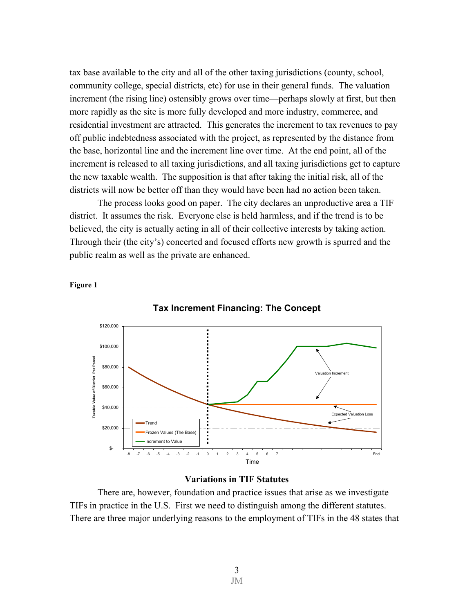tax base available to the city and all of the other taxing jurisdictions (county, school, community college, special districts, etc) for use in their general funds. The valuation increment (the rising line) ostensibly grows over time—perhaps slowly at first, but then more rapidly as the site is more fully developed and more industry, commerce, and residential investment are attracted. This generates the increment to tax revenues to pay off public indebtedness associated with the project, as represented by the distance from the base, horizontal line and the increment line over time. At the end point, all of the increment is released to all taxing jurisdictions, and all taxing jurisdictions get to capture the new taxable wealth. The supposition is that after taking the initial risk, all of the districts will now be better off than they would have been had no action been taken.

The process looks good on paper. The city declares an unproductive area a TIF district. It assumes the risk. Everyone else is held harmless, and if the trend is to be believed, the city is actually acting in all of their collective interests by taking action. Through their (the city's) concerted and focused efforts new growth is spurred and the public realm as well as the private are enhanced.

**Figure 1** 





# **Variations in TIF Statutes**

There are, however, foundation and practice issues that arise as we investigate TIFs in practice in the U.S. First we need to distinguish among the different statutes. There are three major underlying reasons to the employment of TIFs in the 48 states that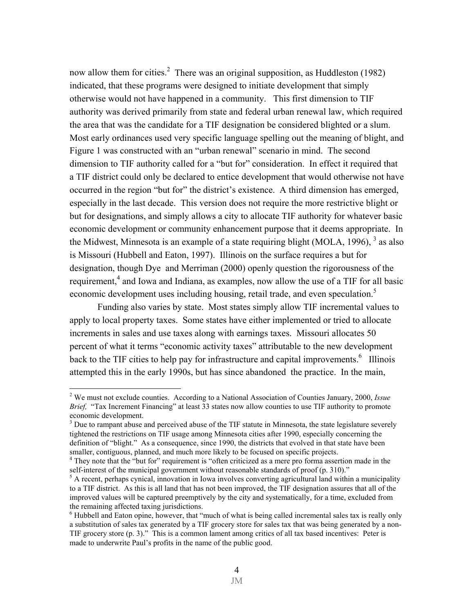now allow them for cities.<sup>2</sup> There was an original supposition, as Huddleston (1982) indicated, that these programs were designed to initiate development that simply otherwise would not have happened in a community. This first dimension to TIF authority was derived primarily from state and federal urban renewal law, which required the area that was the candidate for a TIF designation be considered blighted or a slum. Most early ordinances used very specific language spelling out the meaning of blight, and Figure 1 was constructed with an "urban renewal" scenario in mind. The second dimension to TIF authority called for a "but for" consideration. In effect it required that a TIF district could only be declared to entice development that would otherwise not have occurred in the region "but for" the district's existence. A third dimension has emerged, especially in the last decade. This version does not require the more restrictive blight or but for designations, and simply allows a city to allocate TIF authority for whatever basic economic development or community enhancement purpose that it deems appropriate. In the Midwest, Minnesota is an example of a state requiring blight (MOLA, 1996),  $3$  as also is Missouri (Hubbell and Eaton, 1997). Illinois on the surface requires a but for designation, though Dye and Merriman (2000) openly question the rigorousness of the requirement,<sup>4</sup> and Iowa and Indiana, as examples, now allow the use of a TIF for all basic economic development uses including housing, retail trade, and even speculation.<sup>5</sup>

 Funding also varies by state. Most states simply allow TIF incremental values to apply to local property taxes. Some states have either implemented or tried to allocate increments in sales and use taxes along with earnings taxes. Missouri allocates 50 percent of what it terms "economic activity taxes" attributable to the new development back to the TIF cities to help pay for infrastructure and capital improvements.  $6$  Illinois attempted this in the early 1990s, but has since abandoned the practice. In the main,

<sup>2</sup> We must not exclude counties. According to a National Association of Counties January, 2000, *Issue Brief,* "Tax Increment Financing" at least 33 states now allow counties to use TIF authority to promote economic development.

 $3$  Due to rampant abuse and perceived abuse of the TIF statute in Minnesota, the state legislature severely tightened the restrictions on TIF usage among Minnesota cities after 1990, especially concerning the definition of "blight." As a consequence, since 1990, the districts that evolved in that state have been smaller, contiguous, planned, and much more likely to be focused on specific projects.

<sup>&</sup>lt;sup>4</sup> They note that the "but for" requirement is "often criticized as a mere pro forma assertion made in the self-interest of the municipal government without reasonable standards of proof (p. 310)."

<sup>&</sup>lt;sup>5</sup> A recent, perhaps cynical, innovation in Iowa involves converting agricultural land within a municipality to a TIF district. As this is all land that has not been improved, the TIF designation assures that all of the improved values will be captured preemptively by the city and systematically, for a time, excluded from the remaining affected taxing jurisdictions.

<sup>&</sup>lt;sup>6</sup> Hubbell and Eaton opine, however, that "much of what is being called incremental sales tax is really only a substitution of sales tax generated by a TIF grocery store for sales tax that was being generated by a non-TIF grocery store (p. 3)." This is a common lament among critics of all tax based incentives: Peter is made to underwrite Paul's profits in the name of the public good.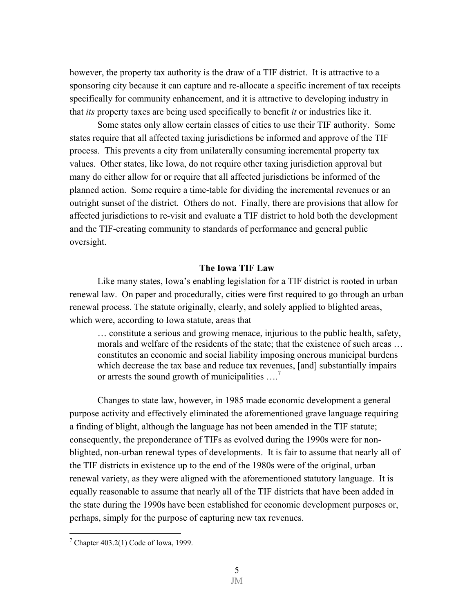however, the property tax authority is the draw of a TIF district. It is attractive to a sponsoring city because it can capture and re-allocate a specific increment of tax receipts specifically for community enhancement, and it is attractive to developing industry in that *its* property taxes are being used specifically to benefit *it* or industries like it.

 Some states only allow certain classes of cities to use their TIF authority. Some states require that all affected taxing jurisdictions be informed and approve of the TIF process. This prevents a city from unilaterally consuming incremental property tax values. Other states, like Iowa, do not require other taxing jurisdiction approval but many do either allow for or require that all affected jurisdictions be informed of the planned action. Some require a time-table for dividing the incremental revenues or an outright sunset of the district. Others do not. Finally, there are provisions that allow for affected jurisdictions to re-visit and evaluate a TIF district to hold both the development and the TIF-creating community to standards of performance and general public oversight.

## **The Iowa TIF Law**

Like many states, Iowa's enabling legislation for a TIF district is rooted in urban renewal law. On paper and procedurally, cities were first required to go through an urban renewal process. The statute originally, clearly, and solely applied to blighted areas, which were, according to Iowa statute, areas that

… constitute a serious and growing menace, injurious to the public health, safety, morals and welfare of the residents of the state; that the existence of such areas … constitutes an economic and social liability imposing onerous municipal burdens which decrease the tax base and reduce tax revenues, [and] substantially impairs or arrests the sound growth of municipalities  $\dots$ .<sup>7</sup>

Changes to state law, however, in 1985 made economic development a general purpose activity and effectively eliminated the aforementioned grave language requiring a finding of blight, although the language has not been amended in the TIF statute; consequently, the preponderance of TIFs as evolved during the 1990s were for nonblighted, non-urban renewal types of developments. It is fair to assume that nearly all of the TIF districts in existence up to the end of the 1980s were of the original, urban renewal variety, as they were aligned with the aforementioned statutory language. It is equally reasonable to assume that nearly all of the TIF districts that have been added in the state during the 1990s have been established for economic development purposes or, perhaps, simply for the purpose of capturing new tax revenues.

<sup>&</sup>lt;sup>7</sup> Chapter 403.2(1) Code of Iowa, 1999.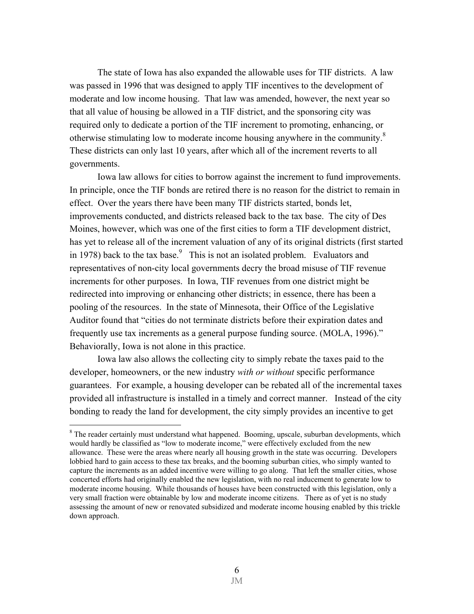The state of Iowa has also expanded the allowable uses for TIF districts. A law was passed in 1996 that was designed to apply TIF incentives to the development of moderate and low income housing. That law was amended, however, the next year so that all value of housing be allowed in a TIF district, and the sponsoring city was required only to dedicate a portion of the TIF increment to promoting, enhancing, or otherwise stimulating low to moderate income housing anywhere in the community.<sup>8</sup> These districts can only last 10 years, after which all of the increment reverts to all governments.

Iowa law allows for cities to borrow against the increment to fund improvements. In principle, once the TIF bonds are retired there is no reason for the district to remain in effect. Over the years there have been many TIF districts started, bonds let, improvements conducted, and districts released back to the tax base. The city of Des Moines, however, which was one of the first cities to form a TIF development district, has yet to release all of the increment valuation of any of its original districts (first started in 1978) back to the tax base.  $\frac{9}{10}$  This is not an isolated problem. Evaluators and representatives of non-city local governments decry the broad misuse of TIF revenue increments for other purposes. In Iowa, TIF revenues from one district might be redirected into improving or enhancing other districts; in essence, there has been a pooling of the resources. In the state of Minnesota, their Office of the Legislative Auditor found that "cities do not terminate districts before their expiration dates and frequently use tax increments as a general purpose funding source. (MOLA, 1996)." Behaviorally, Iowa is not alone in this practice.

 Iowa law also allows the collecting city to simply rebate the taxes paid to the developer, homeowners, or the new industry *with or without* specific performance guarantees. For example, a housing developer can be rebated all of the incremental taxes provided all infrastructure is installed in a timely and correct manner. Instead of the city bonding to ready the land for development, the city simply provides an incentive to get

1

<sup>&</sup>lt;sup>8</sup> The reader certainly must understand what happened. Booming, upscale, suburban developments, which would hardly be classified as "low to moderate income," were effectively excluded from the new allowance. These were the areas where nearly all housing growth in the state was occurring. Developers lobbied hard to gain access to these tax breaks, and the booming suburban cities, who simply wanted to capture the increments as an added incentive were willing to go along. That left the smaller cities, whose concerted efforts had originally enabled the new legislation, with no real inducement to generate low to moderate income housing. While thousands of houses have been constructed with this legislation, only a very small fraction were obtainable by low and moderate income citizens. There as of yet is no study assessing the amount of new or renovated subsidized and moderate income housing enabled by this trickle down approach.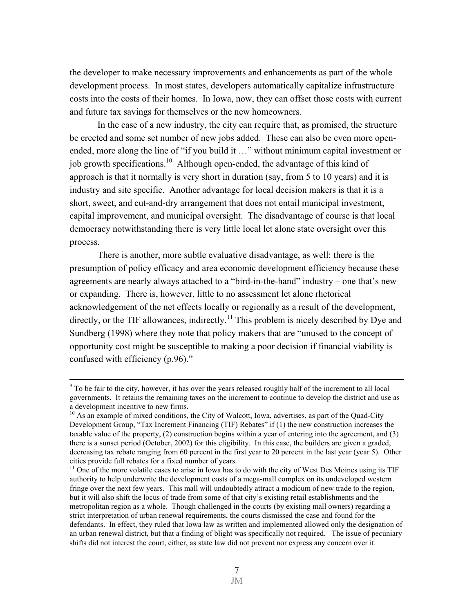the developer to make necessary improvements and enhancements as part of the whole development process. In most states, developers automatically capitalize infrastructure costs into the costs of their homes. In Iowa, now, they can offset those costs with current and future tax savings for themselves or the new homeowners.

In the case of a new industry, the city can require that, as promised, the structure be erected and some set number of new jobs added. These can also be even more openended, more along the line of "if you build it …" without minimum capital investment or job growth specifications.10 Although open-ended, the advantage of this kind of approach is that it normally is very short in duration (say, from 5 to 10 years) and it is industry and site specific. Another advantage for local decision makers is that it is a short, sweet, and cut-and-dry arrangement that does not entail municipal investment, capital improvement, and municipal oversight. The disadvantage of course is that local democracy notwithstanding there is very little local let alone state oversight over this process.

There is another, more subtle evaluative disadvantage, as well: there is the presumption of policy efficacy and area economic development efficiency because these agreements are nearly always attached to a "bird-in-the-hand" industry – one that's new or expanding. There is, however, little to no assessment let alone rhetorical acknowledgement of the net effects locally or regionally as a result of the development, directly, or the TIF allowances, indirectly.<sup>11</sup> This problem is nicely described by Dye and Sundberg (1998) where they note that policy makers that are "unused to the concept of opportunity cost might be susceptible to making a poor decision if financial viability is confused with efficiency (p.96)."

<sup>-&</sup>lt;br>9  $9^9$  To be fair to the city, however, it has over the years released roughly half of the increment to all local governments. It retains the remaining taxes on the increment to continue to develop the district and use as a development incentive to new firms.

<sup>&</sup>lt;sup>10</sup> As an example of mixed conditions, the City of Walcott, Iowa, advertises, as part of the Quad-City Development Group, "Tax Increment Financing (TIF) Rebates" if (1) the new construction increases the taxable value of the property, (2) construction begins within a year of entering into the agreement, and (3) there is a sunset period (October, 2002) for this eligibility. In this case, the builders are given a graded, decreasing tax rebate ranging from 60 percent in the first year to 20 percent in the last year (year 5). Other cities provide full rebates for a fixed number of years.

<sup>&</sup>lt;sup>11</sup> One of the more volatile cases to arise in Iowa has to do with the city of West Des Moines using its TIF authority to help underwrite the development costs of a mega-mall complex on its undeveloped western fringe over the next few years. This mall will undoubtedly attract a modicum of new trade to the region, but it will also shift the locus of trade from some of that city's existing retail establishments and the metropolitan region as a whole. Though challenged in the courts (by existing mall owners) regarding a strict interpretation of urban renewal requirements, the courts dismissed the case and found for the defendants. In effect, they ruled that Iowa law as written and implemented allowed only the designation of an urban renewal district, but that a finding of blight was specifically not required. The issue of pecuniary shifts did not interest the court, either, as state law did not prevent nor express any concern over it.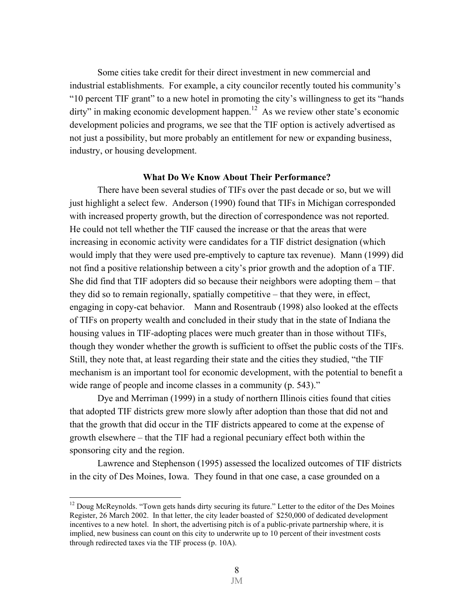Some cities take credit for their direct investment in new commercial and industrial establishments. For example, a city councilor recently touted his community's "10 percent TIF grant" to a new hotel in promoting the city's willingness to get its "hands  $\text{dirty}$ " in making economic development happen.<sup>12</sup> As we review other state's economic development policies and programs, we see that the TIF option is actively advertised as not just a possibility, but more probably an entitlement for new or expanding business, industry, or housing development.

#### **What Do We Know About Their Performance?**

There have been several studies of TIFs over the past decade or so, but we will just highlight a select few. Anderson (1990) found that TIFs in Michigan corresponded with increased property growth, but the direction of correspondence was not reported. He could not tell whether the TIF caused the increase or that the areas that were increasing in economic activity were candidates for a TIF district designation (which would imply that they were used pre-emptively to capture tax revenue). Mann (1999) did not find a positive relationship between a city's prior growth and the adoption of a TIF. She did find that TIF adopters did so because their neighbors were adopting them – that they did so to remain regionally, spatially competitive – that they were, in effect, engaging in copy-cat behavior. Mann and Rosentraub (1998) also looked at the effects of TIFs on property wealth and concluded in their study that in the state of Indiana the housing values in TIF-adopting places were much greater than in those without TIFs, though they wonder whether the growth is sufficient to offset the public costs of the TIFs. Still, they note that, at least regarding their state and the cities they studied, "the TIF mechanism is an important tool for economic development, with the potential to benefit a wide range of people and income classes in a community (p. 543)."

 Dye and Merriman (1999) in a study of northern Illinois cities found that cities that adopted TIF districts grew more slowly after adoption than those that did not and that the growth that did occur in the TIF districts appeared to come at the expense of growth elsewhere – that the TIF had a regional pecuniary effect both within the sponsoring city and the region.

 Lawrence and Stephenson (1995) assessed the localized outcomes of TIF districts in the city of Des Moines, Iowa. They found in that one case, a case grounded on a

<sup>&</sup>lt;sup>12</sup> Doug McReynolds. "Town gets hands dirty securing its future." Letter to the editor of the Des Moines Register, 26 March 2002. In that letter, the city leader boasted of \$250,000 of dedicated development incentives to a new hotel. In short, the advertising pitch is of a public-private partnership where, it is implied, new business can count on this city to underwrite up to 10 percent of their investment costs through redirected taxes via the TIF process (p. 10A).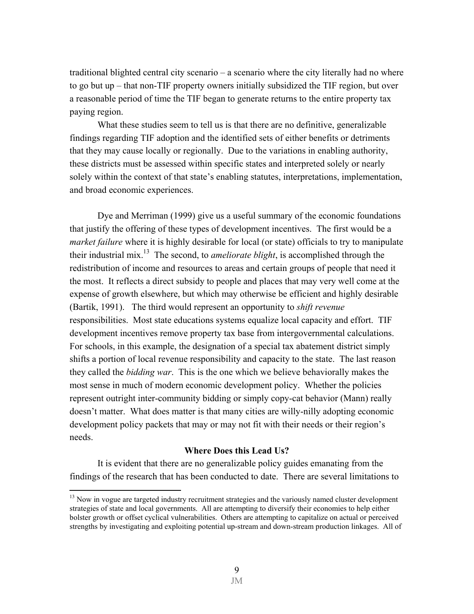traditional blighted central city scenario – a scenario where the city literally had no where to go but up – that non-TIF property owners initially subsidized the TIF region, but over a reasonable period of time the TIF began to generate returns to the entire property tax paying region.

 What these studies seem to tell us is that there are no definitive, generalizable findings regarding TIF adoption and the identified sets of either benefits or detriments that they may cause locally or regionally. Due to the variations in enabling authority, these districts must be assessed within specific states and interpreted solely or nearly solely within the context of that state's enabling statutes, interpretations, implementation, and broad economic experiences.

 Dye and Merriman (1999) give us a useful summary of the economic foundations that justify the offering of these types of development incentives. The first would be a *market failure* where it is highly desirable for local (or state) officials to try to manipulate their industrial mix.13 The second, to *ameliorate blight*, is accomplished through the redistribution of income and resources to areas and certain groups of people that need it the most. It reflects a direct subsidy to people and places that may very well come at the expense of growth elsewhere, but which may otherwise be efficient and highly desirable (Bartik, 1991). The third would represent an opportunity to *shift revenue* responsibilities. Most state educations systems equalize local capacity and effort. TIF development incentives remove property tax base from intergovernmental calculations. For schools, in this example, the designation of a special tax abatement district simply shifts a portion of local revenue responsibility and capacity to the state. The last reason they called the *bidding war*. This is the one which we believe behaviorally makes the most sense in much of modern economic development policy. Whether the policies represent outright inter-community bidding or simply copy-cat behavior (Mann) really doesn't matter. What does matter is that many cities are willy-nilly adopting economic development policy packets that may or may not fit with their needs or their region's needs.

# **Where Does this Lead Us?**

 It is evident that there are no generalizable policy guides emanating from the findings of the research that has been conducted to date. There are several limitations to

1

 $13$  Now in vogue are targeted industry recruitment strategies and the variously named cluster development strategies of state and local governments. All are attempting to diversify their economies to help either bolster growth or offset cyclical vulnerabilities. Others are attempting to capitalize on actual or perceived strengths by investigating and exploiting potential up-stream and down-stream production linkages. All of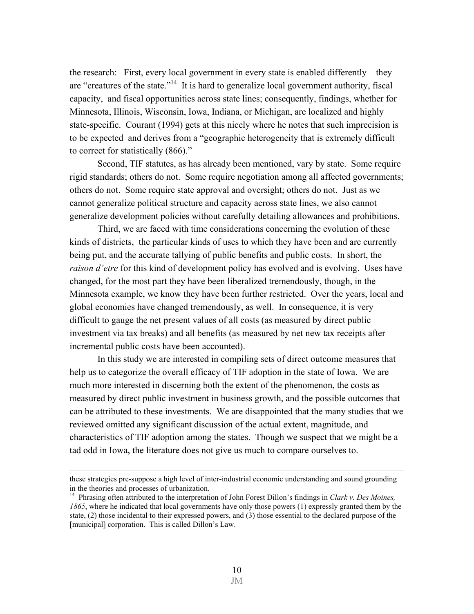the research: First, every local government in every state is enabled differently – they are "creatures of the state."14 It is hard to generalize local government authority, fiscal capacity, and fiscal opportunities across state lines; consequently, findings, whether for Minnesota, Illinois, Wisconsin, Iowa, Indiana, or Michigan, are localized and highly state-specific. Courant (1994) gets at this nicely where he notes that such imprecision is to be expected and derives from a "geographic heterogeneity that is extremely difficult to correct for statistically (866)."

 Second, TIF statutes, as has already been mentioned, vary by state. Some require rigid standards; others do not. Some require negotiation among all affected governments; others do not. Some require state approval and oversight; others do not. Just as we cannot generalize political structure and capacity across state lines, we also cannot generalize development policies without carefully detailing allowances and prohibitions.

 Third, we are faced with time considerations concerning the evolution of these kinds of districts, the particular kinds of uses to which they have been and are currently being put, and the accurate tallying of public benefits and public costs. In short, the *raison d'etre* for this kind of development policy has evolved and is evolving. Uses have changed, for the most part they have been liberalized tremendously, though, in the Minnesota example, we know they have been further restricted. Over the years, local and global economies have changed tremendously, as well. In consequence, it is very difficult to gauge the net present values of all costs (as measured by direct public investment via tax breaks) and all benefits (as measured by net new tax receipts after incremental public costs have been accounted).

 In this study we are interested in compiling sets of direct outcome measures that help us to categorize the overall efficacy of TIF adoption in the state of Iowa. We are much more interested in discerning both the extent of the phenomenon, the costs as measured by direct public investment in business growth, and the possible outcomes that can be attributed to these investments. We are disappointed that the many studies that we reviewed omitted any significant discussion of the actual extent, magnitude, and characteristics of TIF adoption among the states. Though we suspect that we might be a tad odd in Iowa, the literature does not give us much to compare ourselves to.

these strategies pre-suppose a high level of inter-industrial economic understanding and sound grounding in the theories and processes of urbanization.

<sup>14</sup> Phrasing often attributed to the interpretation of John Forest Dillon's findings in *Clark v. Des Moines, 1865*, where he indicated that local governments have only those powers (1) expressly granted them by the state, (2) those incidental to their expressed powers, and (3) those essential to the declared purpose of the [municipal] corporation. This is called Dillon's Law.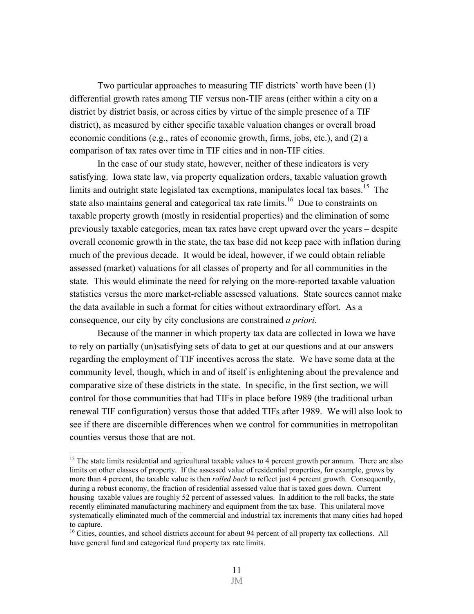Two particular approaches to measuring TIF districts' worth have been (1) differential growth rates among TIF versus non-TIF areas (either within a city on a district by district basis, or across cities by virtue of the simple presence of a TIF district), as measured by either specific taxable valuation changes or overall broad economic conditions (e.g., rates of economic growth, firms, jobs, etc.), and (2) a comparison of tax rates over time in TIF cities and in non-TIF cities.

 In the case of our study state, however, neither of these indicators is very satisfying. Iowa state law, via property equalization orders, taxable valuation growth limits and outright state legislated tax exemptions, manipulates local tax bases.<sup>15</sup> The state also maintains general and categorical tax rate limits.<sup>16</sup> Due to constraints on taxable property growth (mostly in residential properties) and the elimination of some previously taxable categories, mean tax rates have crept upward over the years – despite overall economic growth in the state, the tax base did not keep pace with inflation during much of the previous decade. It would be ideal, however, if we could obtain reliable assessed (market) valuations for all classes of property and for all communities in the state. This would eliminate the need for relying on the more-reported taxable valuation statistics versus the more market-reliable assessed valuations. State sources cannot make the data available in such a format for cities without extraordinary effort. As a consequence, our city by city conclusions are constrained *a priori*.

 Because of the manner in which property tax data are collected in Iowa we have to rely on partially (un)satisfying sets of data to get at our questions and at our answers regarding the employment of TIF incentives across the state. We have some data at the community level, though, which in and of itself is enlightening about the prevalence and comparative size of these districts in the state. In specific, in the first section, we will control for those communities that had TIFs in place before 1989 (the traditional urban renewal TIF configuration) versus those that added TIFs after 1989. We will also look to see if there are discernible differences when we control for communities in metropolitan counties versus those that are not.

<sup>&</sup>lt;sup>15</sup> The state limits residential and agricultural taxable values to 4 percent growth per annum. There are also limits on other classes of property. If the assessed value of residential properties, for example, grows by more than 4 percent, the taxable value is then *rolled back* to reflect just 4 percent growth. Consequently, during a robust economy, the fraction of residential assessed value that is taxed goes down. Current housing taxable values are roughly 52 percent of assessed values. In addition to the roll backs, the state recently eliminated manufacturing machinery and equipment from the tax base. This unilateral move systematically eliminated much of the commercial and industrial tax increments that many cities had hoped to capture.

<sup>&</sup>lt;sup>16</sup> Cities, counties, and school districts account for about 94 percent of all property tax collections. All have general fund and categorical fund property tax rate limits.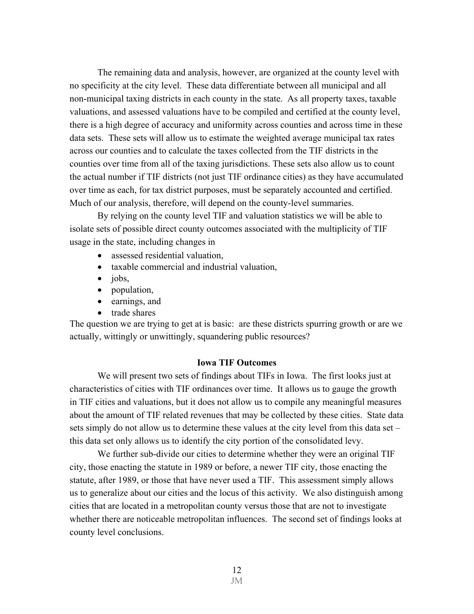The remaining data and analysis, however, are organized at the county level with no specificity at the city level. These data differentiate between all municipal and all non-municipal taxing districts in each county in the state. As all property taxes, taxable valuations, and assessed valuations have to be compiled and certified at the county level, there is a high degree of accuracy and uniformity across counties and across time in these data sets. These sets will allow us to estimate the weighted average municipal tax rates across our counties and to calculate the taxes collected from the TIF districts in the counties over time from all of the taxing jurisdictions. These sets also allow us to count the actual number if TIF districts (not just TIF ordinance cities) as they have accumulated over time as each, for tax district purposes, must be separately accounted and certified. Much of our analysis, therefore, will depend on the county-level summaries.

By relying on the county level TIF and valuation statistics we will be able to isolate sets of possible direct county outcomes associated with the multiplicity of TIF usage in the state, including changes in

- assessed residential valuation,
- taxable commercial and industrial valuation,
- jobs,
- population,
- earnings, and
- trade shares

The question we are trying to get at is basic: are these districts spurring growth or are we actually, wittingly or unwittingly, squandering public resources?

# **Iowa TIF Outcomes**

 We will present two sets of findings about TIFs in Iowa. The first looks just at characteristics of cities with TIF ordinances over time. It allows us to gauge the growth in TIF cities and valuations, but it does not allow us to compile any meaningful measures about the amount of TIF related revenues that may be collected by these cities. State data sets simply do not allow us to determine these values at the city level from this data set – this data set only allows us to identify the city portion of the consolidated levy.

 We further sub-divide our cities to determine whether they were an original TIF city, those enacting the statute in 1989 or before, a newer TIF city, those enacting the statute, after 1989, or those that have never used a TIF. This assessment simply allows us to generalize about our cities and the locus of this activity. We also distinguish among cities that are located in a metropolitan county versus those that are not to investigate whether there are noticeable metropolitan influences. The second set of findings looks at county level conclusions.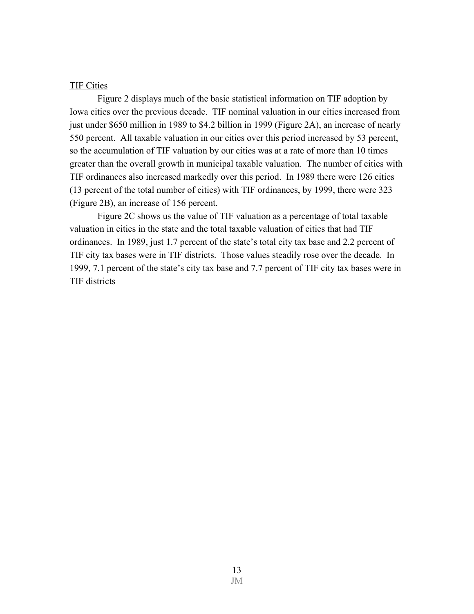#### TIF Cities

 Figure 2 displays much of the basic statistical information on TIF adoption by Iowa cities over the previous decade. TIF nominal valuation in our cities increased from just under \$650 million in 1989 to \$4.2 billion in 1999 (Figure 2A), an increase of nearly 550 percent. All taxable valuation in our cities over this period increased by 53 percent, so the accumulation of TIF valuation by our cities was at a rate of more than 10 times greater than the overall growth in municipal taxable valuation. The number of cities with TIF ordinances also increased markedly over this period. In 1989 there were 126 cities (13 percent of the total number of cities) with TIF ordinances, by 1999, there were 323 (Figure 2B), an increase of 156 percent.

Figure 2C shows us the value of TIF valuation as a percentage of total taxable valuation in cities in the state and the total taxable valuation of cities that had TIF ordinances. In 1989, just 1.7 percent of the state's total city tax base and 2.2 percent of TIF city tax bases were in TIF districts. Those values steadily rose over the decade. In 1999, 7.1 percent of the state's city tax base and 7.7 percent of TIF city tax bases were in TIF districts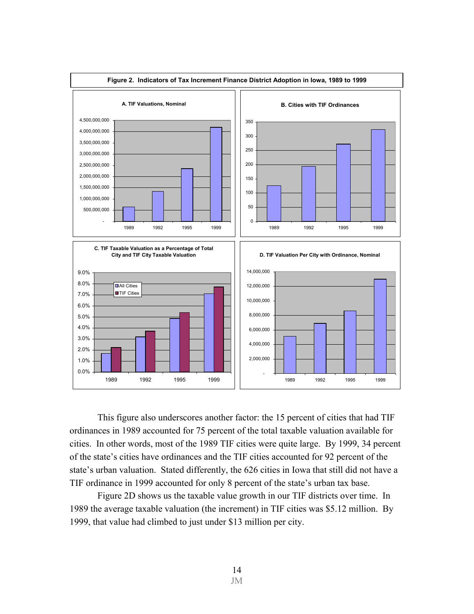

This figure also underscores another factor: the 15 percent of cities that had TIF ordinances in 1989 accounted for 75 percent of the total taxable valuation available for cities. In other words, most of the 1989 TIF cities were quite large. By 1999, 34 percent of the state's cities have ordinances and the TIF cities accounted for 92 percent of the state's urban valuation. Stated differently, the 626 cities in Iowa that still did not have a TIF ordinance in 1999 accounted for only 8 percent of the state's urban tax base.

 Figure 2D shows us the taxable value growth in our TIF districts over time. In 1989 the average taxable valuation (the increment) in TIF cities was \$5.12 million. By 1999, that value had climbed to just under \$13 million per city.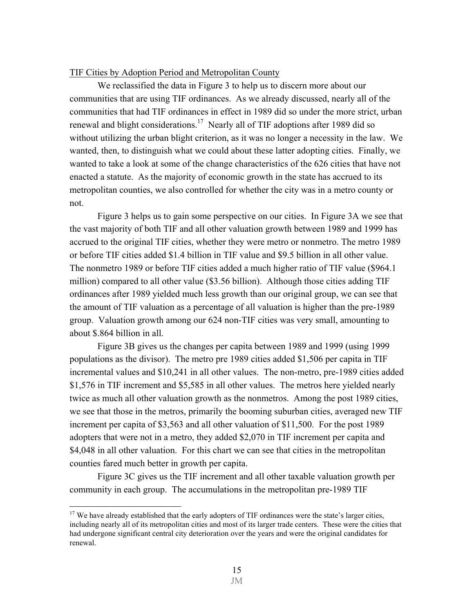# TIF Cities by Adoption Period and Metropolitan County

We reclassified the data in Figure 3 to help us to discern more about our communities that are using TIF ordinances. As we already discussed, nearly all of the communities that had TIF ordinances in effect in 1989 did so under the more strict, urban renewal and blight considerations.17 Nearly all of TIF adoptions after 1989 did so without utilizing the urban blight criterion, as it was no longer a necessity in the law. We wanted, then, to distinguish what we could about these latter adopting cities. Finally, we wanted to take a look at some of the change characteristics of the 626 cities that have not enacted a statute. As the majority of economic growth in the state has accrued to its metropolitan counties, we also controlled for whether the city was in a metro county or not.

Figure 3 helps us to gain some perspective on our cities. In Figure 3A we see that the vast majority of both TIF and all other valuation growth between 1989 and 1999 has accrued to the original TIF cities, whether they were metro or nonmetro. The metro 1989 or before TIF cities added \$1.4 billion in TIF value and \$9.5 billion in all other value. The nonmetro 1989 or before TIF cities added a much higher ratio of TIF value (\$964.1 million) compared to all other value (\$3.56 billion). Although those cities adding TIF ordinances after 1989 yielded much less growth than our original group, we can see that the amount of TIF valuation as a percentage of all valuation is higher than the pre-1989 group. Valuation growth among our 624 non-TIF cities was very small, amounting to about \$.864 billion in all.

 Figure 3B gives us the changes per capita between 1989 and 1999 (using 1999 populations as the divisor). The metro pre 1989 cities added \$1,506 per capita in TIF incremental values and \$10,241 in all other values. The non-metro, pre-1989 cities added \$1,576 in TIF increment and \$5,585 in all other values. The metros here yielded nearly twice as much all other valuation growth as the nonmetros. Among the post 1989 cities, we see that those in the metros, primarily the booming suburban cities, averaged new TIF increment per capita of \$3,563 and all other valuation of \$11,500. For the post 1989 adopters that were not in a metro, they added \$2,070 in TIF increment per capita and \$4,048 in all other valuation. For this chart we can see that cities in the metropolitan counties fared much better in growth per capita.

 Figure 3C gives us the TIF increment and all other taxable valuation growth per community in each group. The accumulations in the metropolitan pre-1989 TIF

1

<sup>&</sup>lt;sup>17</sup> We have already established that the early adopters of TIF ordinances were the state's larger cities, including nearly all of its metropolitan cities and most of its larger trade centers. These were the cities that had undergone significant central city deterioration over the years and were the original candidates for renewal.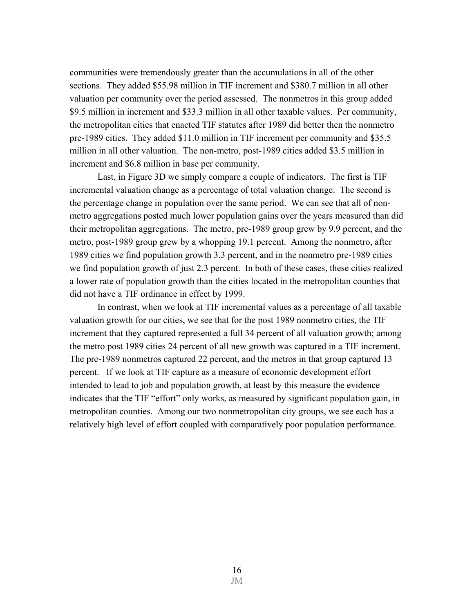communities were tremendously greater than the accumulations in all of the other sections. They added \$55.98 million in TIF increment and \$380.7 million in all other valuation per community over the period assessed. The nonmetros in this group added \$9.5 million in increment and \$33.3 million in all other taxable values. Per community, the metropolitan cities that enacted TIF statutes after 1989 did better then the nonmetro pre-1989 cities. They added \$11.0 million in TIF increment per community and \$35.5 million in all other valuation. The non-metro, post-1989 cities added \$3.5 million in increment and \$6.8 million in base per community.

 Last, in Figure 3D we simply compare a couple of indicators. The first is TIF incremental valuation change as a percentage of total valuation change. The second is the percentage change in population over the same period. We can see that all of nonmetro aggregations posted much lower population gains over the years measured than did their metropolitan aggregations. The metro, pre-1989 group grew by 9.9 percent, and the metro, post-1989 group grew by a whopping 19.1 percent. Among the nonmetro, after 1989 cities we find population growth 3.3 percent, and in the nonmetro pre-1989 cities we find population growth of just 2.3 percent. In both of these cases, these cities realized a lower rate of population growth than the cities located in the metropolitan counties that did not have a TIF ordinance in effect by 1999.

In contrast, when we look at TIF incremental values as a percentage of all taxable valuation growth for our cities, we see that for the post 1989 nonmetro cities, the TIF increment that they captured represented a full 34 percent of all valuation growth; among the metro post 1989 cities 24 percent of all new growth was captured in a TIF increment. The pre-1989 nonmetros captured 22 percent, and the metros in that group captured 13 percent. If we look at TIF capture as a measure of economic development effort intended to lead to job and population growth, at least by this measure the evidence indicates that the TIF "effort" only works, as measured by significant population gain, in metropolitan counties. Among our two nonmetropolitan city groups, we see each has a relatively high level of effort coupled with comparatively poor population performance.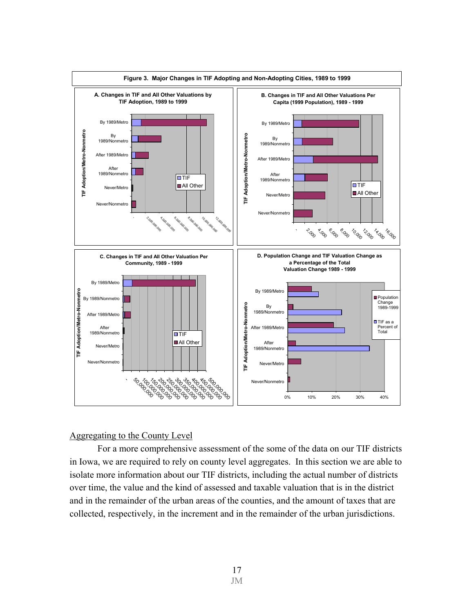

# Aggregating to the County Level

 For a more comprehensive assessment of the some of the data on our TIF districts in Iowa, we are required to rely on county level aggregates. In this section we are able to isolate more information about our TIF districts, including the actual number of districts over time, the value and the kind of assessed and taxable valuation that is in the district and in the remainder of the urban areas of the counties, and the amount of taxes that are collected, respectively, in the increment and in the remainder of the urban jurisdictions.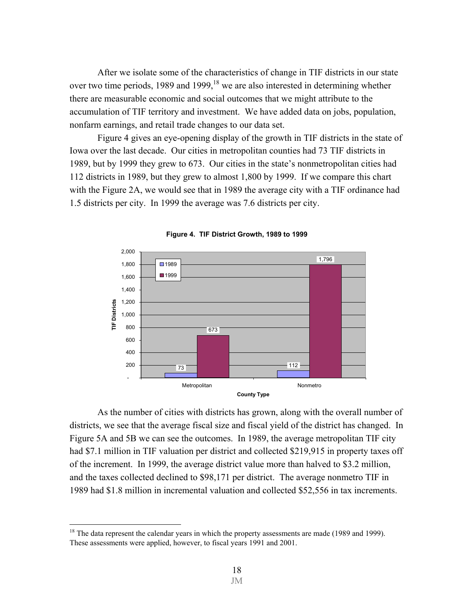After we isolate some of the characteristics of change in TIF districts in our state over two time periods, 1989 and 1999, <sup>18</sup> we are also interested in determining whether there are measurable economic and social outcomes that we might attribute to the accumulation of TIF territory and investment. We have added data on jobs, population, nonfarm earnings, and retail trade changes to our data set.

 Figure 4 gives an eye-opening display of the growth in TIF districts in the state of Iowa over the last decade. Our cities in metropolitan counties had 73 TIF districts in 1989, but by 1999 they grew to 673. Our cities in the state's nonmetropolitan cities had 112 districts in 1989, but they grew to almost 1,800 by 1999. If we compare this chart with the Figure 2A, we would see that in 1989 the average city with a TIF ordinance had 1.5 districts per city. In 1999 the average was 7.6 districts per city.



**Figure 4. TIF District Growth, 1989 to 1999**

 As the number of cities with districts has grown, along with the overall number of districts, we see that the average fiscal size and fiscal yield of the district has changed. In Figure 5A and 5B we can see the outcomes. In 1989, the average metropolitan TIF city had \$7.1 million in TIF valuation per district and collected \$219,915 in property taxes off of the increment. In 1999, the average district value more than halved to \$3.2 million, and the taxes collected declined to \$98,171 per district. The average nonmetro TIF in 1989 had \$1.8 million in incremental valuation and collected \$52,556 in tax increments.

<sup>&</sup>lt;sup>18</sup> The data represent the calendar years in which the property assessments are made (1989 and 1999). These assessments were applied, however, to fiscal years 1991 and 2001.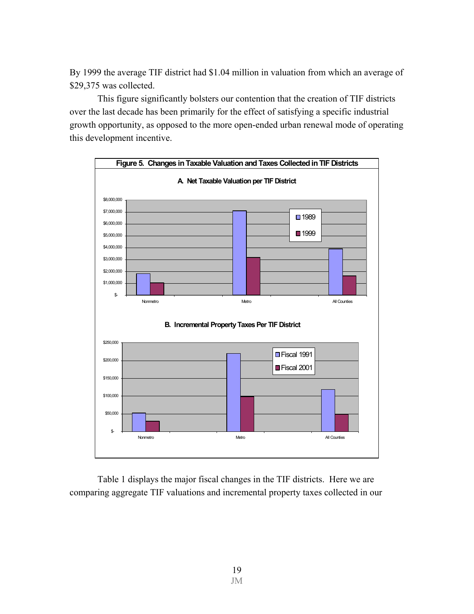By 1999 the average TIF district had \$1.04 million in valuation from which an average of \$29,375 was collected.

This figure significantly bolsters our contention that the creation of TIF districts over the last decade has been primarily for the effect of satisfying a specific industrial growth opportunity, as opposed to the more open-ended urban renewal mode of operating this development incentive.



 Table 1 displays the major fiscal changes in the TIF districts. Here we are comparing aggregate TIF valuations and incremental property taxes collected in our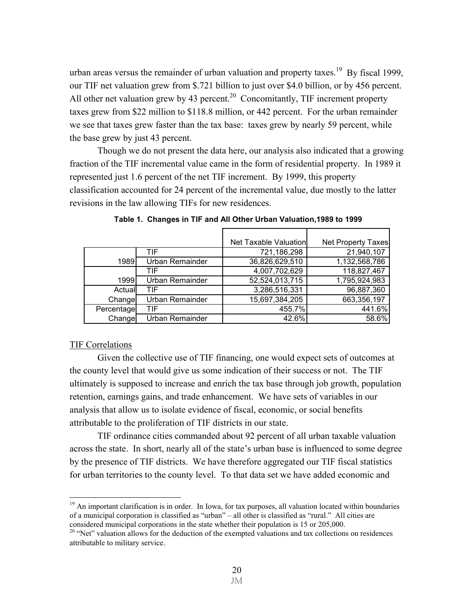urban areas versus the remainder of urban valuation and property taxes.<sup>19</sup> By fiscal 1999, our TIF net valuation grew from \$.721 billion to just over \$4.0 billion, or by 456 percent. All other net valuation grew by 43 percent.<sup>20</sup> Concomitantly, TIF increment property taxes grew from \$22 million to \$118.8 million, or 442 percent. For the urban remainder we see that taxes grew faster than the tax base: taxes grew by nearly 59 percent, while the base grew by just 43 percent.

Though we do not present the data here, our analysis also indicated that a growing fraction of the TIF incremental value came in the form of residential property. In 1989 it represented just 1.6 percent of the net TIF increment. By 1999, this property classification accounted for 24 percent of the incremental value, due mostly to the latter revisions in the law allowing TIFs for new residences.

|            |                        | Net Taxable Valuation | <b>Net Property Taxes</b> |
|------------|------------------------|-----------------------|---------------------------|
|            | TIF                    | 721,186,298           | 21,940,107                |
| 1989       | <b>Urban Remainder</b> | 36,826,629,510        | 1,132,568,786             |
|            | TIF                    | 4,007,702,629         | 118,827,467               |
| 1999       | Urban Remainder        | 52,524,013,715        | 1,795,924,983             |
| Actual     | TIF                    | 3,286,516,331         | 96,887,360                |
| Change     | <b>Urban Remainder</b> | 15,697,384,205        | 663,356,197               |
| Percentage | TIF                    | 455.7%                | 441.6%                    |
| Change     | Urban Remainder        | 42.6%                 | 58.6%                     |

 **Table 1. Changes in TIF and All Other Urban Valuation,1989 to 1999** 

## TIF Correlations

1

 Given the collective use of TIF financing, one would expect sets of outcomes at the county level that would give us some indication of their success or not. The TIF ultimately is supposed to increase and enrich the tax base through job growth, population retention, earnings gains, and trade enhancement. We have sets of variables in our analysis that allow us to isolate evidence of fiscal, economic, or social benefits attributable to the proliferation of TIF districts in our state.

 TIF ordinance cities commanded about 92 percent of all urban taxable valuation across the state. In short, nearly all of the state's urban base is influenced to some degree by the presence of TIF districts. We have therefore aggregated our TIF fiscal statistics for urban territories to the county level. To that data set we have added economic and

<sup>19</sup> An important clarification is in order. In Iowa, for tax purposes, all valuation located within boundaries of a municipal corporation is classified as "urban" – all other is classified as "rural." All cities are considered municipal corporations in the state whether their population is 15 or 205,000.

<sup>&</sup>lt;sup>20</sup> "Net" valuation allows for the deduction of the exempted valuations and tax collections on residences attributable to military service.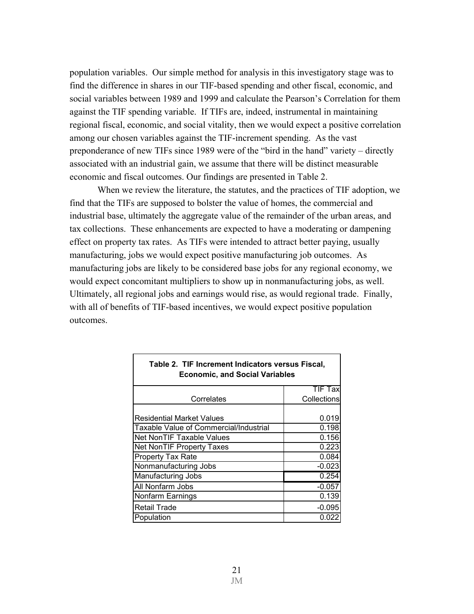population variables. Our simple method for analysis in this investigatory stage was to find the difference in shares in our TIF-based spending and other fiscal, economic, and social variables between 1989 and 1999 and calculate the Pearson's Correlation for them against the TIF spending variable. If TIFs are, indeed, instrumental in maintaining regional fiscal, economic, and social vitality, then we would expect a positive correlation among our chosen variables against the TIF-increment spending. As the vast preponderance of new TIFs since 1989 were of the "bird in the hand" variety – directly associated with an industrial gain, we assume that there will be distinct measurable economic and fiscal outcomes. Our findings are presented in Table 2.

When we review the literature, the statutes, and the practices of TIF adoption, we find that the TIFs are supposed to bolster the value of homes, the commercial and industrial base, ultimately the aggregate value of the remainder of the urban areas, and tax collections. These enhancements are expected to have a moderating or dampening effect on property tax rates. As TIFs were intended to attract better paying, usually manufacturing, jobs we would expect positive manufacturing job outcomes. As manufacturing jobs are likely to be considered base jobs for any regional economy, we would expect concomitant multipliers to show up in nonmanufacturing jobs, as well. Ultimately, all regional jobs and earnings would rise, as would regional trade. Finally, with all of benefits of TIF-based incentives, we would expect positive population outcomes.

| ECONOMIC, and Social Vanables          |                    |  |  |
|----------------------------------------|--------------------|--|--|
|                                        | <b>TIF Tax</b>     |  |  |
| Correlates                             | <b>Collections</b> |  |  |
|                                        |                    |  |  |
| <b>Residential Market Values</b>       | 0.019              |  |  |
| Taxable Value of Commercial/Industrial | 0.198              |  |  |
| Net NonTIF Taxable Values              | 0.156              |  |  |
| <b>Net NonTIF Property Taxes</b>       | 0.223              |  |  |
| Property Tax Rate                      | 0.084              |  |  |
| Nonmanufacturing Jobs                  | $-0.023$           |  |  |
| Manufacturing Jobs                     | 0.254              |  |  |
| All Nonfarm Jobs                       | $-0.057$           |  |  |
| Nonfarm Earnings                       | 0.139              |  |  |
| <b>Retail Trade</b>                    | $-0.095$           |  |  |
| Population                             | 0.022              |  |  |

# **Table 2. TIF Increment Indicators versus Fiscal, Economic, and Social Variables**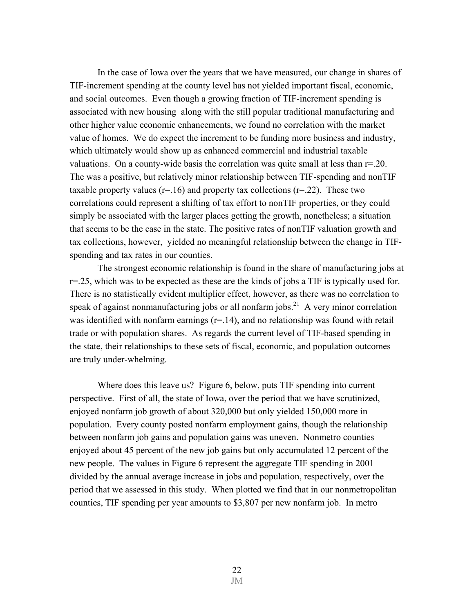In the case of Iowa over the years that we have measured, our change in shares of TIF-increment spending at the county level has not yielded important fiscal, economic, and social outcomes. Even though a growing fraction of TIF-increment spending is associated with new housing along with the still popular traditional manufacturing and other higher value economic enhancements, we found no correlation with the market value of homes. We do expect the increment to be funding more business and industry, which ultimately would show up as enhanced commercial and industrial taxable valuations. On a county-wide basis the correlation was quite small at less than  $r=0.20$ . The was a positive, but relatively minor relationship between TIF-spending and nonTIF taxable property values ( $r=16$ ) and property tax collections ( $r=22$ ). These two correlations could represent a shifting of tax effort to nonTIF properties, or they could simply be associated with the larger places getting the growth, nonetheless; a situation that seems to be the case in the state. The positive rates of nonTIF valuation growth and tax collections, however, yielded no meaningful relationship between the change in TIFspending and tax rates in our counties.

 The strongest economic relationship is found in the share of manufacturing jobs at  $r=25$ , which was to be expected as these are the kinds of jobs a TIF is typically used for. There is no statistically evident multiplier effect, however, as there was no correlation to speak of against nonmanufacturing jobs or all nonfarm jobs.<sup>21</sup> A very minor correlation was identified with nonfarm earnings  $(r=14)$ , and no relationship was found with retail trade or with population shares. As regards the current level of TIF-based spending in the state, their relationships to these sets of fiscal, economic, and population outcomes are truly under-whelming.

Where does this leave us? Figure 6, below, puts TIF spending into current perspective. First of all, the state of Iowa, over the period that we have scrutinized, enjoyed nonfarm job growth of about 320,000 but only yielded 150,000 more in population. Every county posted nonfarm employment gains, though the relationship between nonfarm job gains and population gains was uneven. Nonmetro counties enjoyed about 45 percent of the new job gains but only accumulated 12 percent of the new people. The values in Figure 6 represent the aggregate TIF spending in 2001 divided by the annual average increase in jobs and population, respectively, over the period that we assessed in this study. When plotted we find that in our nonmetropolitan counties, TIF spending per year amounts to \$3,807 per new nonfarm job. In metro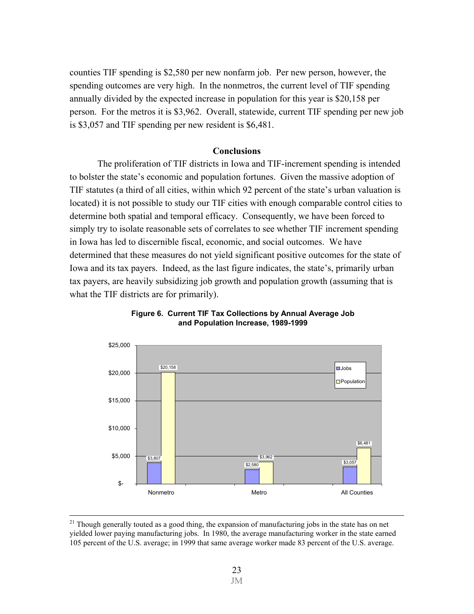counties TIF spending is \$2,580 per new nonfarm job. Per new person, however, the spending outcomes are very high. In the nonmetros, the current level of TIF spending annually divided by the expected increase in population for this year is \$20,158 per person. For the metros it is \$3,962. Overall, statewide, current TIF spending per new job is \$3,057 and TIF spending per new resident is \$6,481.

# **Conclusions**

 The proliferation of TIF districts in Iowa and TIF-increment spending is intended to bolster the state's economic and population fortunes. Given the massive adoption of TIF statutes (a third of all cities, within which 92 percent of the state's urban valuation is located) it is not possible to study our TIF cities with enough comparable control cities to determine both spatial and temporal efficacy. Consequently, we have been forced to simply try to isolate reasonable sets of correlates to see whether TIF increment spending in Iowa has led to discernible fiscal, economic, and social outcomes. We have determined that these measures do not yield significant positive outcomes for the state of Iowa and its tax payers. Indeed, as the last figure indicates, the state's, primarily urban tax payers, are heavily subsidizing job growth and population growth (assuming that is what the TIF districts are for primarily).





<sup>&</sup>lt;sup>21</sup> Though generally touted as a good thing, the expansion of manufacturing jobs in the state has on net yielded lower paying manufacturing jobs. In 1980, the average manufacturing worker in the state earned 105 percent of the U.S. average; in 1999 that same average worker made 83 percent of the U.S. average.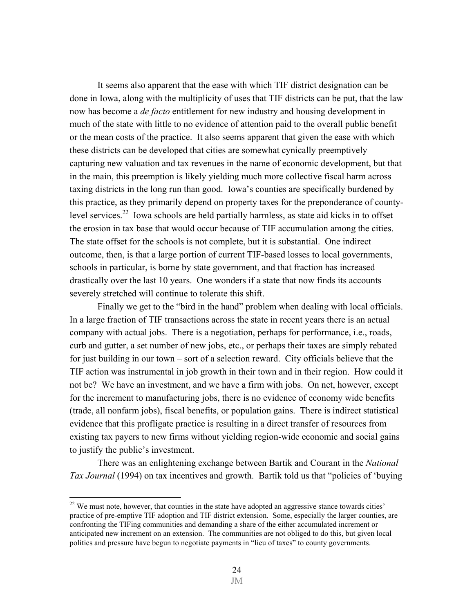It seems also apparent that the ease with which TIF district designation can be done in Iowa, along with the multiplicity of uses that TIF districts can be put, that the law now has become a *de facto* entitlement for new industry and housing development in much of the state with little to no evidence of attention paid to the overall public benefit or the mean costs of the practice. It also seems apparent that given the ease with which these districts can be developed that cities are somewhat cynically preemptively capturing new valuation and tax revenues in the name of economic development, but that in the main, this preemption is likely yielding much more collective fiscal harm across taxing districts in the long run than good. Iowa's counties are specifically burdened by this practice, as they primarily depend on property taxes for the preponderance of countylevel services.<sup>22</sup> Iowa schools are held partially harmless, as state aid kicks in to offset the erosion in tax base that would occur because of TIF accumulation among the cities. The state offset for the schools is not complete, but it is substantial. One indirect outcome, then, is that a large portion of current TIF-based losses to local governments, schools in particular, is borne by state government, and that fraction has increased drastically over the last 10 years. One wonders if a state that now finds its accounts severely stretched will continue to tolerate this shift.

 Finally we get to the "bird in the hand" problem when dealing with local officials. In a large fraction of TIF transactions across the state in recent years there is an actual company with actual jobs. There is a negotiation, perhaps for performance, i.e., roads, curb and gutter, a set number of new jobs, etc., or perhaps their taxes are simply rebated for just building in our town – sort of a selection reward. City officials believe that the TIF action was instrumental in job growth in their town and in their region. How could it not be? We have an investment, and we have a firm with jobs. On net, however, except for the increment to manufacturing jobs, there is no evidence of economy wide benefits (trade, all nonfarm jobs), fiscal benefits, or population gains. There is indirect statistical evidence that this profligate practice is resulting in a direct transfer of resources from existing tax payers to new firms without yielding region-wide economic and social gains to justify the public's investment.

 There was an enlightening exchange between Bartik and Courant in the *National Tax Journal* (1994) on tax incentives and growth. Bartik told us that "policies of 'buying

1

 $22$  We must note, however, that counties in the state have adopted an aggressive stance towards cities' practice of pre-emptive TIF adoption and TIF district extension. Some, especially the larger counties, are confronting the TIFing communities and demanding a share of the either accumulated increment or anticipated new increment on an extension. The communities are not obliged to do this, but given local politics and pressure have begun to negotiate payments in "lieu of taxes" to county governments.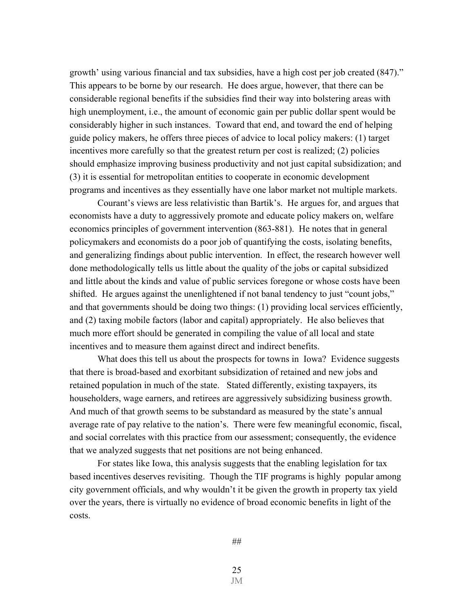growth' using various financial and tax subsidies, have a high cost per job created (847)." This appears to be borne by our research. He does argue, however, that there can be considerable regional benefits if the subsidies find their way into bolstering areas with high unemployment, i.e., the amount of economic gain per public dollar spent would be considerably higher in such instances. Toward that end, and toward the end of helping guide policy makers, he offers three pieces of advice to local policy makers: (1) target incentives more carefully so that the greatest return per cost is realized; (2) policies should emphasize improving business productivity and not just capital subsidization; and (3) it is essential for metropolitan entities to cooperate in economic development programs and incentives as they essentially have one labor market not multiple markets.

 Courant's views are less relativistic than Bartik's. He argues for, and argues that economists have a duty to aggressively promote and educate policy makers on, welfare economics principles of government intervention (863-881). He notes that in general policymakers and economists do a poor job of quantifying the costs, isolating benefits, and generalizing findings about public intervention. In effect, the research however well done methodologically tells us little about the quality of the jobs or capital subsidized and little about the kinds and value of public services foregone or whose costs have been shifted. He argues against the unenlightened if not banal tendency to just "count jobs," and that governments should be doing two things: (1) providing local services efficiently, and (2) taxing mobile factors (labor and capital) appropriately. He also believes that much more effort should be generated in compiling the value of all local and state incentives and to measure them against direct and indirect benefits.

What does this tell us about the prospects for towns in Iowa? Evidence suggests that there is broad-based and exorbitant subsidization of retained and new jobs and retained population in much of the state. Stated differently, existing taxpayers, its householders, wage earners, and retirees are aggressively subsidizing business growth. And much of that growth seems to be substandard as measured by the state's annual average rate of pay relative to the nation's. There were few meaningful economic, fiscal, and social correlates with this practice from our assessment; consequently, the evidence that we analyzed suggests that net positions are not being enhanced.

 For states like Iowa, this analysis suggests that the enabling legislation for tax based incentives deserves revisiting. Though the TIF programs is highly popular among city government officials, and why wouldn't it be given the growth in property tax yield over the years, there is virtually no evidence of broad economic benefits in light of the costs.

JM 25